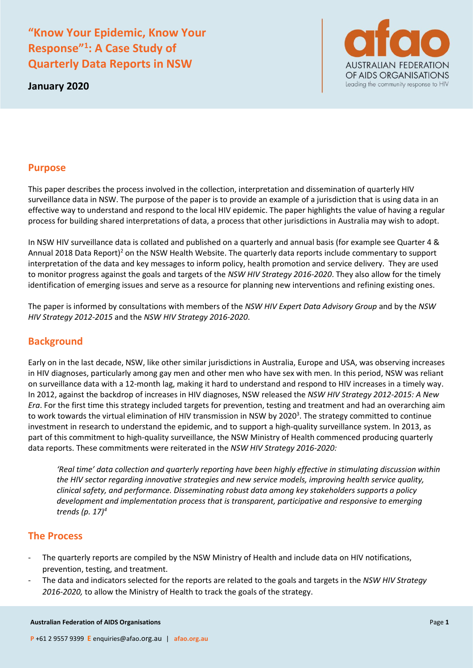**"Know Your Epidemic, Know Your Response"<sup>1</sup> : A Case Study of Quarterly Data Reports in NSW**

**January 2020**



### **Purpose**

This paper describes the process involved in the collection, interpretation and dissemination of quarterly HIV surveillance data in NSW. The purpose of the paper is to provide an example of a jurisdiction that is using data in an effective way to understand and respond to the local HIV epidemic. The paper highlights the value of having a regular process for building shared interpretations of data, a process that other jurisdictions in Australia may wish to adopt.

In NSW HIV surveillance data is collated and published on a quarterly and annual basis (for example see Quarter 4 & Annual 2018 Data Report)<sup>2</sup> on the NSW Health Website. The quarterly data reports include commentary to support interpretation of the data and key messages to inform policy, health promotion and service delivery. They are used to monitor progress against the goals and targets of the *NSW HIV Strategy 2016-2020*. They also allow for the timely identification of emerging issues and serve as a resource for planning new interventions and refining existing ones.

The paper is informed by consultations with members of the *NSW HIV Expert Data Advisory Group* and by the *NSW HIV Strategy 2012-2015* and the *NSW HIV Strategy 2016-2020*.

## **Background**

Early on in the last decade, NSW, like other similar jurisdictions in Australia, Europe and USA, was observing increases in HIV diagnoses, particularly among gay men and other men who have sex with men. In this period, NSW was reliant on surveillance data with a 12-month lag, making it hard to understand and respond to HIV increases in a timely way. In 2012, against the backdrop of increases in HIV diagnoses, NSW released the *NSW HIV Strategy 2012-2015: A New Era*. For the first time this strategy included targets for prevention, testing and treatment and had an overarching aim to work towards the virtual elimination of HIV transmission in NSW by 2020<sup>3</sup>. The strategy committed to continue investment in research to understand the epidemic, and to support a high-quality surveillance system. In 2013, as part of this commitment to high-quality surveillance, the NSW Ministry of Health commenced producing quarterly data reports. These commitments were reiterated in the *NSW HIV Strategy 2016-2020:*

*'Real time' data collection and quarterly reporting have been highly effective in stimulating discussion within the HIV sector regarding innovative strategies and new service models, improving health service quality, clinical safety, and performance. Disseminating robust data among key stakeholders supports a policy development and implementation process that is transparent, participative and responsive to emerging trends (p. 17)<sup>4</sup>*

#### **The Process**

- The quarterly reports are compiled by the NSW Ministry of Health and include data on HIV notifications, prevention, testing, and treatment.
- The data and indicators selected for the reports are related to the goals and targets in the *NSW HIV Strategy 2016-2020,* to allow the Ministry of Health to track the goals of the strategy.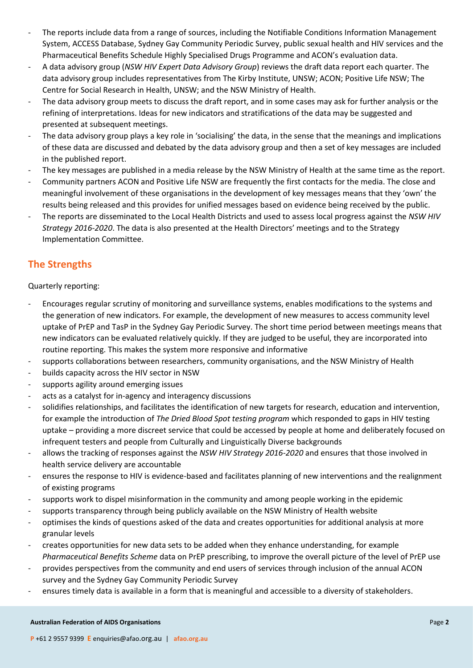- The reports include data from a range of sources, including the Notifiable Conditions Information Management System, ACCESS Database, Sydney Gay Community Periodic Survey, public sexual health and HIV services and the Pharmaceutical Benefits Schedule Highly Specialised Drugs Programme and ACON's evaluation data.
- A data advisory group (*NSW HIV Expert Data Advisory Group*) reviews the draft data report each quarter. The data advisory group includes representatives from The Kirby Institute, UNSW; ACON; Positive Life NSW; The Centre for Social Research in Health, UNSW; and the NSW Ministry of Health.
- The data advisory group meets to discuss the draft report, and in some cases may ask for further analysis or the refining of interpretations. Ideas for new indicators and stratifications of the data may be suggested and presented at subsequent meetings.
- The data advisory group plays a key role in 'socialising' the data, in the sense that the meanings and implications of these data are discussed and debated by the data advisory group and then a set of key messages are included in the published report.
- The key messages are published in a media release by the NSW Ministry of Health at the same time as the report.
- Community partners ACON and Positive Life NSW are frequently the first contacts for the media. The close and meaningful involvement of these organisations in the development of key messages means that they 'own' the results being released and this provides for unified messages based on evidence being received by the public.
- The reports are disseminated to the Local Health Districts and used to assess local progress against the *NSW HIV Strategy 2016-2020*. The data is also presented at the Health Directors' meetings and to the Strategy Implementation Committee.

# **The Strengths**

Quarterly reporting:

- Encourages regular scrutiny of monitoring and surveillance systems, enables modifications to the systems and the generation of new indicators. For example, the development of new measures to access community level uptake of PrEP and TasP in the Sydney Gay Periodic Survey. The short time period between meetings means that new indicators can be evaluated relatively quickly. If they are judged to be useful, they are incorporated into routine reporting. This makes the system more responsive and informative
- supports collaborations between researchers, community organisations, and the NSW Ministry of Health
- builds capacity across the HIV sector in NSW
- supports agility around emerging issues
- acts as a catalyst for in-agency and interagency discussions
- solidifies relationships, and facilitates the identification of new targets for research, education and intervention, for example the introduction of *The Dried Blood Spot testing program* which responded to gaps in HIV testing uptake – providing a more discreet service that could be accessed by people at home and deliberately focused on infrequent testers and people from Culturally and Linguistically Diverse backgrounds
- allows the tracking of responses against the *NSW HIV Strategy 2016-2020* and ensures that those involved in health service delivery are accountable
- ensures the response to HIV is evidence-based and facilitates planning of new interventions and the realignment of existing programs
- supports work to dispel misinformation in the community and among people working in the epidemic
- supports transparency through being publicly available on the NSW Ministry of Health website
- optimises the kinds of questions asked of the data and creates opportunities for additional analysis at more granular levels
- creates opportunities for new data sets to be added when they enhance understanding, for example *Pharmaceutical Benefits Scheme* data on PrEP prescribing, to improve the overall picture of the level of PrEP use
- provides perspectives from the community and end users of services through inclusion of the annual ACON survey and the Sydney Gay Community Periodic Survey
- ensures timely data is available in a form that is meaningful and accessible to a diversity of stakeholders.

#### **Australian Federation of AIDS Organisations** Page **2**